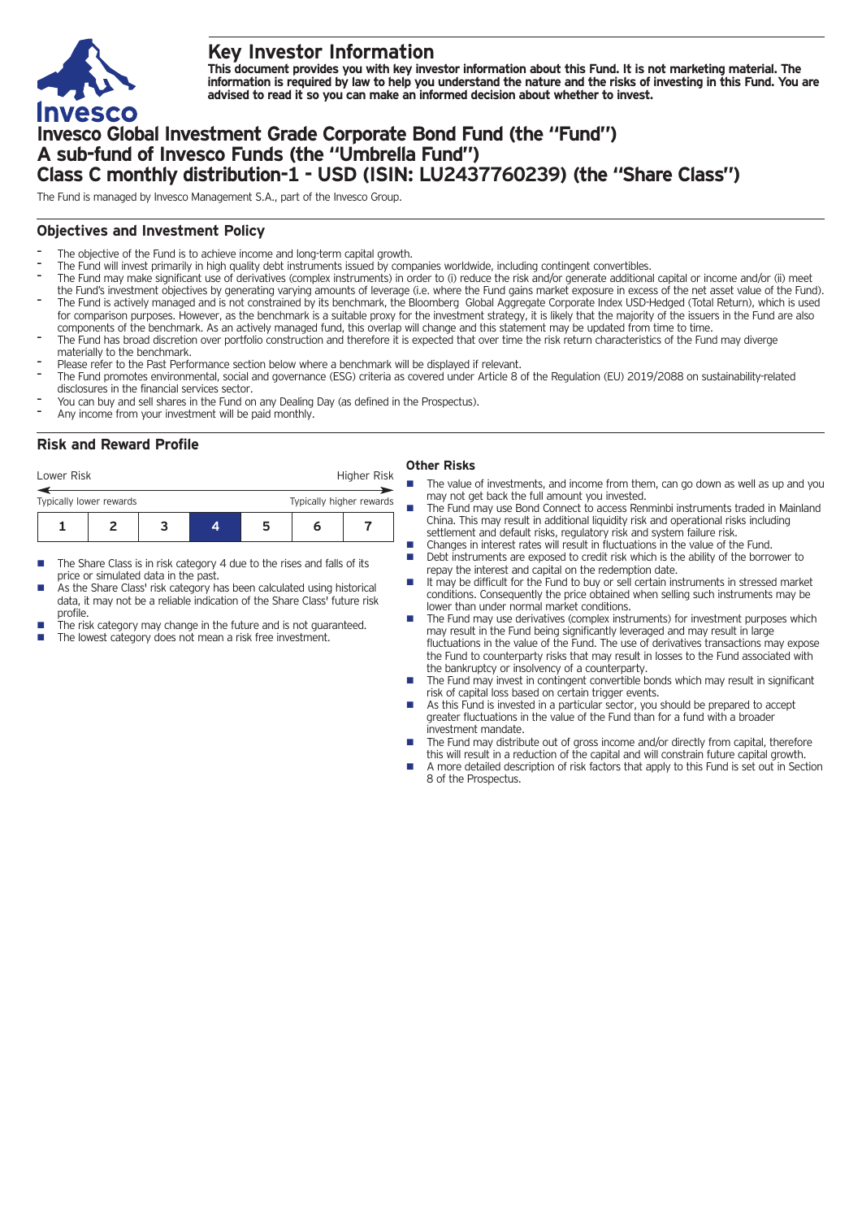

# **Key Investor Information**

This document provides you with key investor information about this Fund. It is not marketing material. The information is required by law to help you understand the nature and the risks of investing in this Fund. You are **advised to read it so you can make an informed decision about whether to invest.**

# **Invesco Global Investment Grade Corporate Bond Fund (the "Fund") A sub-fund of Invesco Funds (the "Umbrella Fund") Class C monthly distribution-1 - USD (ISIN: LU2437760239) (the "Share Class")**

The Fund is managed by Invesco Management S.A., part of the Invesco Group.

## **Objectives and Investment Policy**

- The objective of the Fund is to achieve income and long-term capital growth.
- The Fund will invest primarily in high quality debt instruments issued by companies worldwide, including contingent convertibles.
- The Fund may make significant use of derivatives (complex instruments) in order to (i) reduce the risk and/or generate additional capital or income and/or (ii) meet the Fund's investment objectives by generating varying amounts of leverage (i.e. where the Fund gains market exposure in excess of the net asset value of the Fund). The Fund is actively managed and is not constrained by its benchmark, the Bloomberg Global Aggregate Corporate Index USD-Hedged (Total Return), which is used for comparison purposes. However, as the benchmark is a suitable proxy for the investment strategy, it is likely that the majority of the issuers in the Fund are also
- components of the benchmark. As an actively managed fund, this overlap will change and this statement may be updated from time to time.
- The Fund has broad discretion over portfolio construction and therefore it is expected that over time the risk return characteristics of the Fund may diverge materially to the benchmark.
- Please refer to the Past Performance section below where a benchmark will be displayed if relevant.
- The Fund promotes environmental, social and governance (ESG) criteria as covered under Article 8 of the Regulation (EU) 2019/2088 on sustainability-related disclosures in the financial services sector.
- You can buy and sell shares in the Fund on any Dealing Day (as defined in the Prospectus).
- Any income from your investment will be paid monthly.

### **Risk and Reward Profile**

| Lower Risk                                          |  |   |  |  | Higher Risk |  |
|-----------------------------------------------------|--|---|--|--|-------------|--|
| Typically lower rewards<br>Typically higher rewards |  |   |  |  |             |  |
|                                                     |  | з |  |  | n           |  |

- The Share Class is in risk category 4 due to the rises and falls of its price or simulated data in the past.
- As the Share Class' risk category has been calculated using historical data, it may not be a reliable indication of the Share Class' future risk profile.
- The risk category may change in the future and is not guaranteed.
- The lowest category does not mean a risk free investment.

#### **Other Risks**

- The value of investments, and income from them, can go down as well as up and you may not get back the full amount you invested.
- The Fund may use Bond Connect to access Renminbi instruments traded in Mainland China. This may result in additional liquidity risk and operational risks including settlement and default risks, regulatory risk and system failure risk.
- n Changes in interest rates will result in fluctuations in the value of the Fund.
- n Debt instruments are exposed to credit risk which is the ability of the borrower to repay the interest and capital on the redemption date.
- n It may be difficult for the Fund to buy or sell certain instruments in stressed market conditions. Consequently the price obtained when selling such instruments may be lower than under normal market conditions.
- n The Fund may use derivatives (complex instruments) for investment purposes which may result in the Fund being significantly leveraged and may result in large fluctuations in the value of the Fund. The use of derivatives transactions may expose the Fund to counterparty risks that may result in losses to the Fund associated with the bankruptcy or insolvency of a counterparty.
- The Fund may invest in contingent convertible bonds which may result in significant risk of capital loss based on certain trigger events.
- As this Fund is invested in a particular sector, you should be prepared to accept greater fluctuations in the value of the Fund than for a fund with a broader investment mandate.
- The Fund may distribute out of gross income and/or directly from capital, therefore this will result in a reduction of the capital and will constrain future capital growth.
- A more detailed description of risk factors that apply to this Fund is set out in Section 8 of the Prospectus.